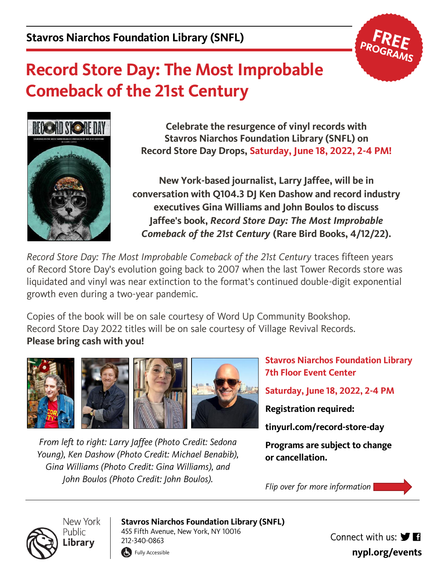

## **Record Store Day: The Most Improbable Comeback of the 21st Century**



**Celebrate the resurgence of vinyl records with Stavros Niarchos Foundation Library (SNFL) on Record Store Day Drops, Saturday, June 18, 2022, 2-4 PM!**

**New York-based journalist, Larry Jaffee, will be in conversation with Q104.3 DJ Ken Dashow and record industry executives Gina Williams and John Boulos to discuss Jaffee's book,** *Record Store Day: The Most Improbable Comeback of the 21st Century* **(Rare Bird Books, 4/12/22).**

*Record Store Day: The Most Improbable Comeback of the 21st Century* traces fifteen years of Record Store Day's evolution going back to 2007 when the last Tower Records store was liquidated and vinyl was near extinction to the format's continued double-digit exponential growth even during a two-year pandemic.

Copies of the book will be on sale courtesy of Word Up Community Bookshop. Record Store Day 2022 titles will be on sale courtesy of Village Revival Records. **Please bring cash with you!**



*From left to right: Larry Jaffee (Photo Credit: Sedona Young), Ken Dashow (Photo Credit: Michael Benabib), Gina Williams (Photo Credit: Gina Williams), and John Boulos (Photo Credit: John Boulos).*

**Stavros Niarchos Foundation Library 7th Floor Event Center**

**Saturday, June 18, 2022, 2-4 PM**

**Registration required:**

**tinyurl.com/record-store-day**

**Programs are subject to change or cancellation.**

*Flip over for more information* 



New York **Public** Library

**Stavros Niarchos Foundation Library (SNFL)**

455 Fifth Avenue, New York, NY 10016 212-340-0863